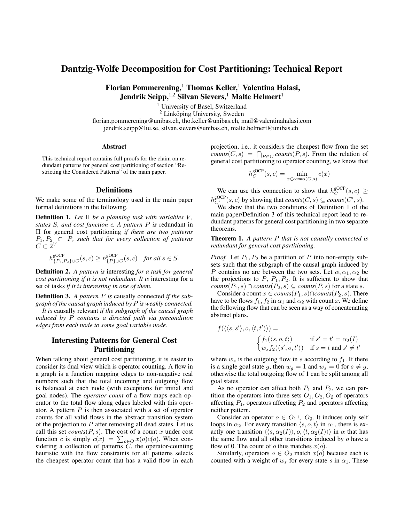## Dantzig-Wolfe Decomposition for Cost Partitioning: Technical Report

Florian Pommerening,<sup>1</sup> Thomas Keller,<sup>1</sup> Valentina Halasi, Jendrik Seipp,  $1,2$  Silvan Sievers,<sup>1</sup> Malte Helmert<sup>1</sup>

<sup>1</sup> University of Basel, Switzerland

 $2$  Linköping University, Sweden

florian.pommerening@unibas.ch, tho.keller@unibas.ch, mail@valentinahalasi.com jendrik.seipp@liu.se, silvan.sievers@unibas.ch, malte.helmert@unibas.ch

## Abstract

This technical report contains full proofs for the claim on redundant patterns for general cost partitioning of section "Restricting the Considered Patterns" of the main paper.

## **Definitions**

We make some of the terminology used in the main paper formal definitions in the following.

Definition 1. *Let* Π *be a planning task with variables* V *, states* S*, and cost function* c*. A pattern* P *is* redundant in Π for general cost partitioning *if there are two patterns*  $P_1, P_2 \subset P$ , such that for every collection of patterns  $C\subset 2^V$ 

$$
h^{\text{SOCP}}_{\{P_1,P_2\}\cup C}(s,c) \geq h^{\text{SOCP}}_{\{P\}\cup C}(s,c) \quad \textit{for all } s \in S.
$$

Definition 2. *A pattern is* interesting *for a task for general cost partitioning if it is not redundant. It is* interesting for a set of tasks *if it is interesting in one of them.*

Definition 3. *A pattern* P *is* causally connected *if the subgraph of the causal graph induced by* P *is weakly connected.*

*It is* causally relevant *if the subgraph of the causal graph induced by* P *contains a directed path via precondition edges from each node to some goal variable node.*

## Interesting Patterns for General Cost Partitioning

When talking about general cost partitioning, it is easier to consider its dual view which is operator counting. A flow in a graph is a function mapping edges to non-negative real numbers such that the total incoming and outgoing flow is balanced at each node (with exceptions for initial and goal nodes). The *operator count* of a flow maps each operator to the total flow along edges labeled with this operator. A pattern  $P$  is then associated with a set of operator counts for all valid flows in the abstract transition system of the projection to  $P$  after removing all dead states. Let us call this set *counts* $(P, s)$ . The cost of a count x under cost function c is simply  $c(x) = \sum_{o \in O} x(o)c(o)$ . When considering a collection of patterns  $\tilde{C}$ , the operator-counting heuristic with the flow constraints for all patterns selects the cheapest operator count that has a valid flow in each

projection, i.e., it considers the cheapest flow from the set *counts*( $C, s$ ) =  $\bigcap_{P \in C} \text{counts}(P, s)$ . From the relation of general cost partitioning to operator counting, we know that

$$
h_C^{\text{gOCP}}(s,c) = \min_{x \in \text{counts}(C,s)} c(x)
$$

We can use this connection to show that  $h_C^{\text{gOCP}}(s, c) \geq$ C  $h_{C'}^{\text{soCP}}(s, c)$  by showing that  $counts(C, s) \subseteq counts(C', s)$ .

We show that the two conditions of Definition 1 of the main paper/Definition 3 of this technical report lead to redundant patterns for general cost partitioning in two separate theorems.

Theorem 1. *A pattern* P *that is not causally connected is redundant for general cost partitioning.*

*Proof.* Let  $P_1$ ,  $P_2$  be a partition of P into non-empty subsets such that the subgraph of the causal graph induced by P contains no arc between the two sets. Let  $\alpha, \alpha_1, \alpha_2$  be the projections to  $P$ ,  $P_1$ ,  $P_2$ . It is sufficient to show that  $counts(P_1, s) \cap counts(P_2, s) \subseteq counts(P, s)$  for a state s.

Consider a count  $x \in \text{counts}(P_1, s) \cap \text{counts}(P_2, s)$ . There have to be flows  $f_1, f_2$  in  $\alpha_1$  and  $\alpha_2$  with count x. We define the following flow that can be seen as a way of concatenating abstract plans.

$$
f(\langle \langle s, s' \rangle, o, \langle t, t' \rangle \rangle) =
$$
  

$$
\begin{cases} f_1(\langle s, o, t \rangle) & \text{if } s' = t' = \alpha_2(I) \\ w_s f_2(\langle s', o, t' \rangle) & \text{if } s = t \text{ and } s' \neq t' \end{cases}
$$

where  $w_s$  is the outgoing flow in s according to  $f_1$ . If there is a single goal state g, then  $w_g = 1$  and  $w_s = 0$  for  $s \neq g$ , otherwise the total outgoing flow of 1 can be split among all goal states.

As no operator can affect both  $P_1$  and  $P_2$ , we can partition the operators into three sets  $O_1$ ,  $O_2$ ,  $O_{\emptyset}$  of operators affecting  $P_1$ , operators affecting  $P_2$  and operators affecting neither pattern.

Consider an operator  $o \in O_1 \cup O_0$ . It induces only self loops in  $\alpha_2$ . For every transition  $\langle s, o, t \rangle$  in  $\alpha_1$ , there is exactly one transition  $\langle \langle s, \alpha_2(I) \rangle, o, \langle t, \alpha_2(I) \rangle \rangle$  in  $\alpha$  that has the same flow and all other transitions induced by  $o$  have a flow of 0. The count of  $o$  thus matches  $x(o)$ .

Similarly, operators  $o \in O_2$  match  $x(o)$  because each is counted with a weight of  $w_s$  for every state s in  $\alpha_1$ . These